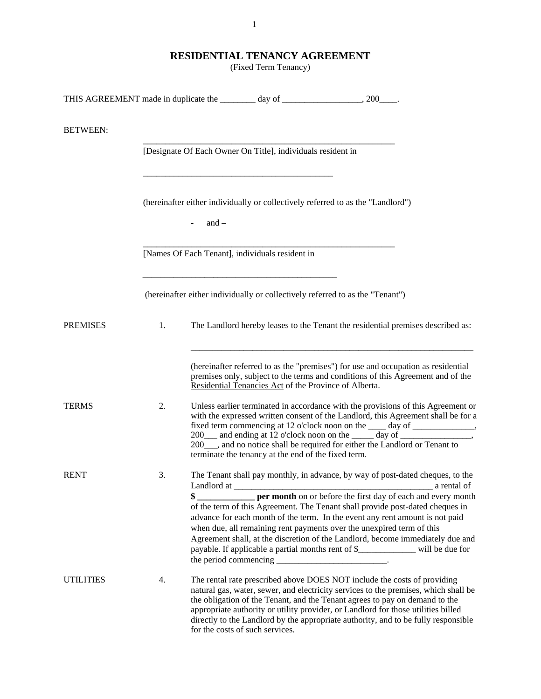# **RESIDENTIAL TENANCY AGREEMENT**

(Fixed Term Tenancy)

| <b>BETWEEN:</b>  |    |                                                                                                                                                                                                                                                                                                                                                                                                                                                                                                                    |
|------------------|----|--------------------------------------------------------------------------------------------------------------------------------------------------------------------------------------------------------------------------------------------------------------------------------------------------------------------------------------------------------------------------------------------------------------------------------------------------------------------------------------------------------------------|
|                  |    | [Designate Of Each Owner On Title], individuals resident in                                                                                                                                                                                                                                                                                                                                                                                                                                                        |
|                  |    | (hereinafter either individually or collectively referred to as the "Landlord")<br>$-$ and $-$                                                                                                                                                                                                                                                                                                                                                                                                                     |
|                  |    | [Names Of Each Tenant], individuals resident in                                                                                                                                                                                                                                                                                                                                                                                                                                                                    |
|                  |    | (hereinafter either individually or collectively referred to as the "Tenant")                                                                                                                                                                                                                                                                                                                                                                                                                                      |
| <b>PREMISES</b>  | 1. | The Landlord hereby leases to the Tenant the residential premises described as:                                                                                                                                                                                                                                                                                                                                                                                                                                    |
|                  |    | (hereinafter referred to as the "premises") for use and occupation as residential<br>premises only, subject to the terms and conditions of this Agreement and of the<br>Residential Tenancies Act of the Province of Alberta.                                                                                                                                                                                                                                                                                      |
| <b>TERMS</b>     | 2. | Unless earlier terminated in accordance with the provisions of this Agreement or<br>with the expressed written consent of the Landlord, this Agreement shall be for a<br>fixed term commencing at 12 o'clock noon on the _____ day of ________________,<br>200 and ending at 12 o'clock noon on the _____ day of ___________________________<br>200_, and no notice shall be required for either the Landlord or Tenant to<br>terminate the tenancy at the end of the fixed term.                                  |
| <b>RENT</b>      | 3. | The Tenant shall pay monthly, in advance, by way of post-dated cheques, to the<br>a rental of<br>\$<br>of the term of this Agreement. The Tenant shall provide post-dated cheques in<br>advance for each month of the term. In the event any rent amount is not paid<br>when due, all remaining rent payments over the unexpired term of this<br>Agreement shall, at the discretion of the Landlord, become immediately due and<br>payable. If applicable a partial months rent of \$_____________ will be due for |
| <b>UTILITIES</b> | 4. | The rental rate prescribed above DOES NOT include the costs of providing<br>natural gas, water, sewer, and electricity services to the premises, which shall be<br>the obligation of the Tenant, and the Tenant agrees to pay on demand to the<br>appropriate authority or utility provider, or Landlord for those utilities billed<br>directly to the Landlord by the appropriate authority, and to be fully responsible<br>for the costs of such services.                                                       |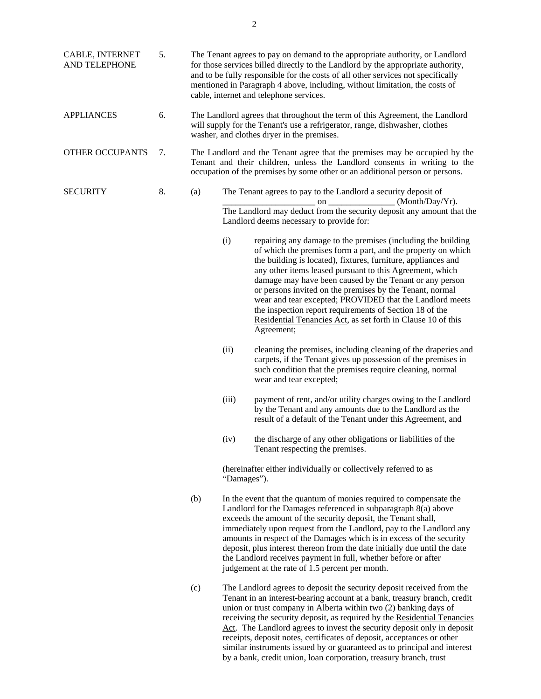| CABLE, INTERNET<br>AND TELEPHONE | 5. | The Tenant agrees to pay on demand to the appropriate authority, or Landlord<br>for those services billed directly to the Landlord by the appropriate authority,<br>and to be fully responsible for the costs of all other services not specifically<br>mentioned in Paragraph 4 above, including, without limitation, the costs of<br>cable, internet and telephone services. |                                                                                |                                                                                                                                                                                                                                                                                                                                                                                                                                                                                                                                                                                       |  |  |
|----------------------------------|----|--------------------------------------------------------------------------------------------------------------------------------------------------------------------------------------------------------------------------------------------------------------------------------------------------------------------------------------------------------------------------------|--------------------------------------------------------------------------------|---------------------------------------------------------------------------------------------------------------------------------------------------------------------------------------------------------------------------------------------------------------------------------------------------------------------------------------------------------------------------------------------------------------------------------------------------------------------------------------------------------------------------------------------------------------------------------------|--|--|
| <b>APPLIANCES</b>                | 6. |                                                                                                                                                                                                                                                                                                                                                                                |                                                                                | The Landlord agrees that throughout the term of this Agreement, the Landlord<br>will supply for the Tenant's use a refrigerator, range, dishwasher, clothes<br>washer, and clothes dryer in the premises.                                                                                                                                                                                                                                                                                                                                                                             |  |  |
| <b>OTHER OCCUPANTS</b>           | 7. |                                                                                                                                                                                                                                                                                                                                                                                |                                                                                | The Landlord and the Tenant agree that the premises may be occupied by the<br>Tenant and their children, unless the Landlord consents in writing to the<br>occupation of the premises by some other or an additional person or persons.                                                                                                                                                                                                                                                                                                                                               |  |  |
| <b>SECURITY</b>                  | 8. | (a)                                                                                                                                                                                                                                                                                                                                                                            |                                                                                | The Tenant agrees to pay to the Landlord a security deposit of<br>(Month/Day/Yr).<br>on $\qquad$<br>The Landlord may deduct from the security deposit any amount that the<br>Landlord deems necessary to provide for:                                                                                                                                                                                                                                                                                                                                                                 |  |  |
|                                  |    |                                                                                                                                                                                                                                                                                                                                                                                | (i)                                                                            | repairing any damage to the premises (including the building<br>of which the premises form a part, and the property on which<br>the building is located), fixtures, furniture, appliances and<br>any other items leased pursuant to this Agreement, which<br>damage may have been caused by the Tenant or any person<br>or persons invited on the premises by the Tenant, normal<br>wear and tear excepted; PROVIDED that the Landlord meets<br>the inspection report requirements of Section 18 of the<br>Residential Tenancies Act, as set forth in Clause 10 of this<br>Agreement; |  |  |
|                                  |    |                                                                                                                                                                                                                                                                                                                                                                                | (ii)                                                                           | cleaning the premises, including cleaning of the draperies and<br>carpets, if the Tenant gives up possession of the premises in<br>such condition that the premises require cleaning, normal<br>wear and tear excepted;                                                                                                                                                                                                                                                                                                                                                               |  |  |
|                                  |    |                                                                                                                                                                                                                                                                                                                                                                                | (iii)                                                                          | payment of rent, and/or utility charges owing to the Landlord<br>by the Tenant and any amounts due to the Landlord as the<br>result of a default of the Tenant under this Agreement, and                                                                                                                                                                                                                                                                                                                                                                                              |  |  |
|                                  |    |                                                                                                                                                                                                                                                                                                                                                                                | (iv)                                                                           | the discharge of any other obligations or liabilities of the<br>Tenant respecting the premises.                                                                                                                                                                                                                                                                                                                                                                                                                                                                                       |  |  |
|                                  |    |                                                                                                                                                                                                                                                                                                                                                                                | (hereinafter either individually or collectively referred to as<br>"Damages"). |                                                                                                                                                                                                                                                                                                                                                                                                                                                                                                                                                                                       |  |  |
|                                  |    | (b)                                                                                                                                                                                                                                                                                                                                                                            |                                                                                | In the event that the quantum of monies required to compensate the<br>Landlord for the Damages referenced in subparagraph 8(a) above<br>exceeds the amount of the security deposit, the Tenant shall,<br>immediately upon request from the Landlord, pay to the Landlord any<br>amounts in respect of the Damages which is in excess of the security<br>deposit, plus interest thereon from the date initially due until the date<br>the Landlord receives payment in full, whether before or after<br>judgement at the rate of 1.5 percent per month.                                |  |  |
|                                  |    | (c)                                                                                                                                                                                                                                                                                                                                                                            |                                                                                | The Landlord agrees to deposit the security deposit received from the<br>Tenant in an interest-bearing account at a bank, treasury branch, credit<br>union or trust company in Alberta within two (2) banking days of<br>receiving the security deposit, as required by the Residential Tenancies<br>Act. The Landlord agrees to invest the security deposit only in deposit<br>receipts, deposit notes, certificates of deposit, acceptances or other<br>similar instruments issued by or guaranteed as to principal and interest                                                    |  |  |

by a bank, credit union, loan corporation, treasury branch, trust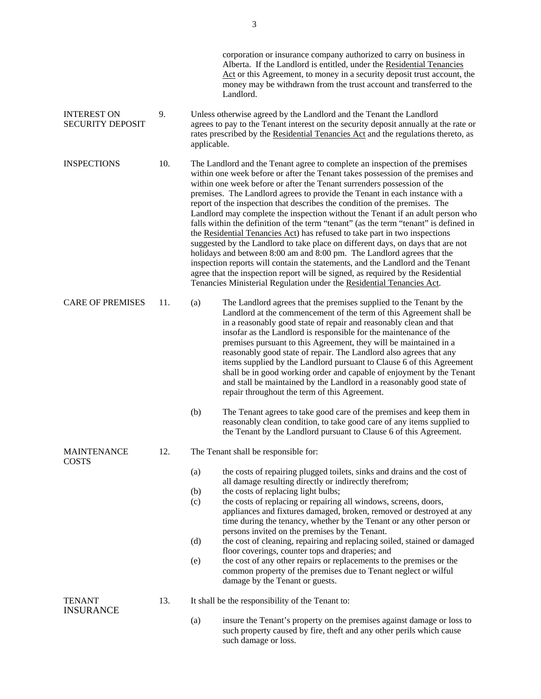|                                               |     |             | corporation or insurance company authorized to carry on business in<br>Alberta. If the Landlord is entitled, under the Residential Tenancies<br>Act or this Agreement, to money in a security deposit trust account, the<br>money may be withdrawn from the trust account and transferred to the<br>Landlord.                                                                                                                                                                                                                                                                                                                                                                                                                                                                                                                                                                                                                                                                                                                                                              |
|-----------------------------------------------|-----|-------------|----------------------------------------------------------------------------------------------------------------------------------------------------------------------------------------------------------------------------------------------------------------------------------------------------------------------------------------------------------------------------------------------------------------------------------------------------------------------------------------------------------------------------------------------------------------------------------------------------------------------------------------------------------------------------------------------------------------------------------------------------------------------------------------------------------------------------------------------------------------------------------------------------------------------------------------------------------------------------------------------------------------------------------------------------------------------------|
| <b>INTEREST ON</b><br><b>SECURITY DEPOSIT</b> | 9.  | applicable. | Unless otherwise agreed by the Landlord and the Tenant the Landlord<br>agrees to pay to the Tenant interest on the security deposit annually at the rate or<br>rates prescribed by the Residential Tenancies Act and the regulations thereto, as                                                                                                                                                                                                                                                                                                                                                                                                                                                                                                                                                                                                                                                                                                                                                                                                                           |
| <b>INSPECTIONS</b>                            | 10. |             | The Landlord and the Tenant agree to complete an inspection of the premises<br>within one week before or after the Tenant takes possession of the premises and<br>within one week before or after the Tenant surrenders possession of the<br>premises. The Landlord agrees to provide the Tenant in each instance with a<br>report of the inspection that describes the condition of the premises. The<br>Landlord may complete the inspection without the Tenant if an adult person who<br>falls within the definition of the term "tenant" (as the term "tenant" is defined in<br>the Residential Tenancies Act) has refused to take part in two inspections<br>suggested by the Landlord to take place on different days, on days that are not<br>holidays and between 8:00 am and 8:00 pm. The Landlord agrees that the<br>inspection reports will contain the statements, and the Landlord and the Tenant<br>agree that the inspection report will be signed, as required by the Residential<br>Tenancies Ministerial Regulation under the Residential Tenancies Act. |
| <b>CARE OF PREMISES</b>                       | 11. | (a)         | The Landlord agrees that the premises supplied to the Tenant by the<br>Landlord at the commencement of the term of this Agreement shall be<br>in a reasonably good state of repair and reasonably clean and that<br>insofar as the Landlord is responsible for the maintenance of the<br>premises pursuant to this Agreement, they will be maintained in a<br>reasonably good state of repair. The Landlord also agrees that any<br>items supplied by the Landlord pursuant to Clause 6 of this Agreement<br>shall be in good working order and capable of enjoyment by the Tenant<br>and stall be maintained by the Landlord in a reasonably good state of<br>repair throughout the term of this Agreement.                                                                                                                                                                                                                                                                                                                                                               |
|                                               |     | (b)         | The Tenant agrees to take good care of the premises and keep them in<br>reasonably clean condition, to take good care of any items supplied to<br>the Tenant by the Landlord pursuant to Clause 6 of this Agreement.                                                                                                                                                                                                                                                                                                                                                                                                                                                                                                                                                                                                                                                                                                                                                                                                                                                       |
| <b>MAINTENANCE</b><br><b>COSTS</b>            | 12. |             | The Tenant shall be responsible for:                                                                                                                                                                                                                                                                                                                                                                                                                                                                                                                                                                                                                                                                                                                                                                                                                                                                                                                                                                                                                                       |
|                                               |     | (a)         | the costs of repairing plugged toilets, sinks and drains and the cost of<br>all damage resulting directly or indirectly therefrom;                                                                                                                                                                                                                                                                                                                                                                                                                                                                                                                                                                                                                                                                                                                                                                                                                                                                                                                                         |
|                                               |     | (b)         | the costs of replacing light bulbs;                                                                                                                                                                                                                                                                                                                                                                                                                                                                                                                                                                                                                                                                                                                                                                                                                                                                                                                                                                                                                                        |
|                                               |     | (c)         | the costs of replacing or repairing all windows, screens, doors,<br>appliances and fixtures damaged, broken, removed or destroyed at any<br>time during the tenancy, whether by the Tenant or any other person or<br>persons invited on the premises by the Tenant.                                                                                                                                                                                                                                                                                                                                                                                                                                                                                                                                                                                                                                                                                                                                                                                                        |
|                                               |     | (d)         | the cost of cleaning, repairing and replacing soiled, stained or damaged<br>floor coverings, counter tops and draperies; and                                                                                                                                                                                                                                                                                                                                                                                                                                                                                                                                                                                                                                                                                                                                                                                                                                                                                                                                               |
|                                               |     | (e)         | the cost of any other repairs or replacements to the premises or the<br>common property of the premises due to Tenant neglect or wilful<br>damage by the Tenant or guests.                                                                                                                                                                                                                                                                                                                                                                                                                                                                                                                                                                                                                                                                                                                                                                                                                                                                                                 |
| <b>TENANT</b><br><b>INSURANCE</b>             | 13. |             | It shall be the responsibility of the Tenant to:                                                                                                                                                                                                                                                                                                                                                                                                                                                                                                                                                                                                                                                                                                                                                                                                                                                                                                                                                                                                                           |
|                                               |     | (a)         | insure the Tenant's property on the premises against damage or loss to<br>such property caused by fire, theft and any other perils which cause<br>such damage or loss.                                                                                                                                                                                                                                                                                                                                                                                                                                                                                                                                                                                                                                                                                                                                                                                                                                                                                                     |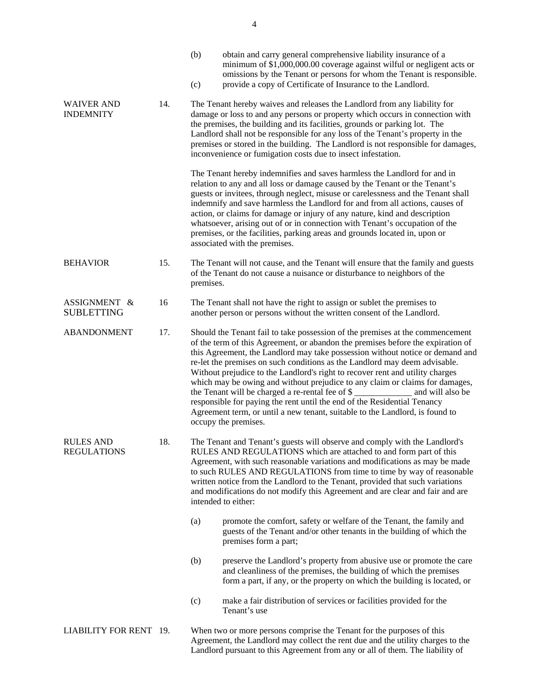|                                        |     | (b)<br>(c)                                                                                                                                                                                                                                                                                                                                                                                                                                                                     | obtain and carry general comprehensive liability insurance of a<br>minimum of \$1,000,000.00 coverage against wilful or negligent acts or<br>omissions by the Tenant or persons for whom the Tenant is responsible.<br>provide a copy of Certificate of Insurance to the Landlord.                                                                                                                                                                                                                                                                                                                                                                                                                                                                           |  |  |  |
|----------------------------------------|-----|--------------------------------------------------------------------------------------------------------------------------------------------------------------------------------------------------------------------------------------------------------------------------------------------------------------------------------------------------------------------------------------------------------------------------------------------------------------------------------|--------------------------------------------------------------------------------------------------------------------------------------------------------------------------------------------------------------------------------------------------------------------------------------------------------------------------------------------------------------------------------------------------------------------------------------------------------------------------------------------------------------------------------------------------------------------------------------------------------------------------------------------------------------------------------------------------------------------------------------------------------------|--|--|--|
| <b>WAIVER AND</b><br><b>INDEMNITY</b>  | 14. | The Tenant hereby waives and releases the Landlord from any liability for<br>damage or loss to and any persons or property which occurs in connection with<br>the premises, the building and its facilities, grounds or parking lot. The<br>Landlord shall not be responsible for any loss of the Tenant's property in the<br>premises or stored in the building. The Landlord is not responsible for damages,<br>inconvenience or fumigation costs due to insect infestation. |                                                                                                                                                                                                                                                                                                                                                                                                                                                                                                                                                                                                                                                                                                                                                              |  |  |  |
|                                        |     |                                                                                                                                                                                                                                                                                                                                                                                                                                                                                | The Tenant hereby indemnifies and saves harmless the Landlord for and in<br>relation to any and all loss or damage caused by the Tenant or the Tenant's<br>guests or invitees, through neglect, misuse or carelessness and the Tenant shall<br>indemnify and save harmless the Landlord for and from all actions, causes of<br>action, or claims for damage or injury of any nature, kind and description<br>whatsoever, arising out of or in connection with Tenant's occupation of the<br>premises, or the facilities, parking areas and grounds located in, upon or<br>associated with the premises.                                                                                                                                                      |  |  |  |
| <b>BEHAVIOR</b>                        | 15. | premises.                                                                                                                                                                                                                                                                                                                                                                                                                                                                      | The Tenant will not cause, and the Tenant will ensure that the family and guests<br>of the Tenant do not cause a nuisance or disturbance to neighbors of the                                                                                                                                                                                                                                                                                                                                                                                                                                                                                                                                                                                                 |  |  |  |
| ASSIGNMENT &<br><b>SUBLETTING</b>      | 16  | The Tenant shall not have the right to assign or sublet the premises to<br>another person or persons without the written consent of the Landlord.                                                                                                                                                                                                                                                                                                                              |                                                                                                                                                                                                                                                                                                                                                                                                                                                                                                                                                                                                                                                                                                                                                              |  |  |  |
| <b>ABANDONMENT</b>                     | 17. |                                                                                                                                                                                                                                                                                                                                                                                                                                                                                | Should the Tenant fail to take possession of the premises at the commencement<br>of the term of this Agreement, or abandon the premises before the expiration of<br>this Agreement, the Landlord may take possession without notice or demand and<br>re-let the premises on such conditions as the Landlord may deem advisable.<br>Without prejudice to the Landlord's right to recover rent and utility charges<br>which may be owing and without prejudice to any claim or claims for damages,<br>the Tenant will be charged a re-rental fee of \$<br>and will also be<br>responsible for paying the rent until the end of the Residential Tenancy<br>Agreement term, or until a new tenant, suitable to the Landlord, is found to<br>occupy the premises. |  |  |  |
| <b>RULES AND</b><br><b>REGULATIONS</b> | 18. |                                                                                                                                                                                                                                                                                                                                                                                                                                                                                | The Tenant and Tenant's guests will observe and comply with the Landlord's<br>RULES AND REGULATIONS which are attached to and form part of this<br>Agreement, with such reasonable variations and modifications as may be made<br>to such RULES AND REGULATIONS from time to time by way of reasonable<br>written notice from the Landlord to the Tenant, provided that such variations<br>and modifications do not modify this Agreement and are clear and fair and are<br>intended to either:                                                                                                                                                                                                                                                              |  |  |  |
|                                        |     | (a)                                                                                                                                                                                                                                                                                                                                                                                                                                                                            | promote the comfort, safety or welfare of the Tenant, the family and<br>guests of the Tenant and/or other tenants in the building of which the<br>premises form a part;                                                                                                                                                                                                                                                                                                                                                                                                                                                                                                                                                                                      |  |  |  |
|                                        |     | (b)                                                                                                                                                                                                                                                                                                                                                                                                                                                                            | preserve the Landlord's property from abusive use or promote the care<br>and cleanliness of the premises, the building of which the premises<br>form a part, if any, or the property on which the building is located, or                                                                                                                                                                                                                                                                                                                                                                                                                                                                                                                                    |  |  |  |
|                                        |     | (c)                                                                                                                                                                                                                                                                                                                                                                                                                                                                            | make a fair distribution of services or facilities provided for the<br>Tenant's use                                                                                                                                                                                                                                                                                                                                                                                                                                                                                                                                                                                                                                                                          |  |  |  |
| LIABILITY FOR RENT 19.                 |     |                                                                                                                                                                                                                                                                                                                                                                                                                                                                                | When two or more persons comprise the Tenant for the purposes of this<br>Agreement, the Landlord may collect the rent due and the utility charges to the<br>Landlord pursuant to this Agreement from any or all of them. The liability of                                                                                                                                                                                                                                                                                                                                                                                                                                                                                                                    |  |  |  |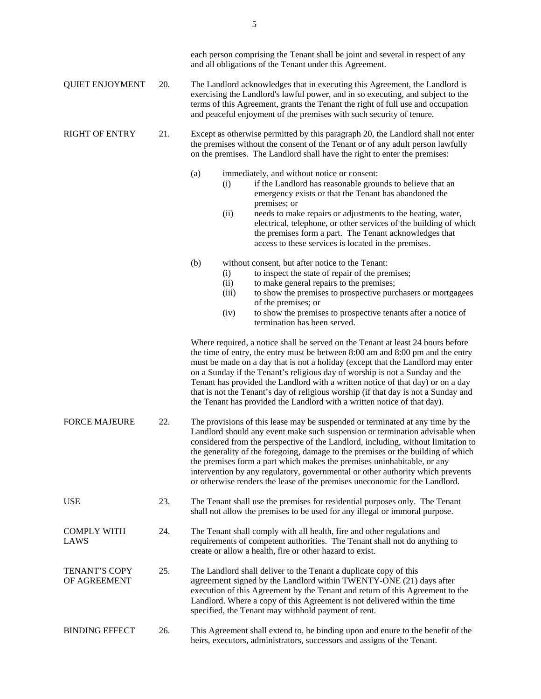|                               |     |                                                                                                                                                                                                                                                                                                                                                                                                                                                                                                                                                                                     |                              | each person comprising the Tenant shall be joint and several in respect of any<br>and all obligations of the Tenant under this Agreement.                                                                                                                                                                                                                                                                                                                                                                                                                                                 |
|-------------------------------|-----|-------------------------------------------------------------------------------------------------------------------------------------------------------------------------------------------------------------------------------------------------------------------------------------------------------------------------------------------------------------------------------------------------------------------------------------------------------------------------------------------------------------------------------------------------------------------------------------|------------------------------|-------------------------------------------------------------------------------------------------------------------------------------------------------------------------------------------------------------------------------------------------------------------------------------------------------------------------------------------------------------------------------------------------------------------------------------------------------------------------------------------------------------------------------------------------------------------------------------------|
| <b>QUIET ENJOYMENT</b>        | 20. | The Landlord acknowledges that in executing this Agreement, the Landlord is<br>exercising the Landlord's lawful power, and in so executing, and subject to the<br>terms of this Agreement, grants the Tenant the right of full use and occupation<br>and peaceful enjoyment of the premises with such security of tenure.                                                                                                                                                                                                                                                           |                              |                                                                                                                                                                                                                                                                                                                                                                                                                                                                                                                                                                                           |
| <b>RIGHT OF ENTRY</b>         | 21. | Except as otherwise permitted by this paragraph 20, the Landlord shall not enter<br>the premises without the consent of the Tenant or of any adult person lawfully<br>on the premises. The Landlord shall have the right to enter the premises:                                                                                                                                                                                                                                                                                                                                     |                              |                                                                                                                                                                                                                                                                                                                                                                                                                                                                                                                                                                                           |
|                               |     | (a)                                                                                                                                                                                                                                                                                                                                                                                                                                                                                                                                                                                 | (i)<br>(ii)                  | immediately, and without notice or consent:<br>if the Landlord has reasonable grounds to believe that an<br>emergency exists or that the Tenant has abandoned the<br>premises; or<br>needs to make repairs or adjustments to the heating, water,<br>electrical, telephone, or other services of the building of which<br>the premises form a part. The Tenant acknowledges that<br>access to these services is located in the premises.                                                                                                                                                   |
|                               |     | (b)                                                                                                                                                                                                                                                                                                                                                                                                                                                                                                                                                                                 | (i)<br>(ii)<br>(iii)<br>(iv) | without consent, but after notice to the Tenant:<br>to inspect the state of repair of the premises;<br>to make general repairs to the premises;<br>to show the premises to prospective purchasers or mortgagees<br>of the premises; or<br>to show the premises to prospective tenants after a notice of<br>termination has been served.                                                                                                                                                                                                                                                   |
|                               |     |                                                                                                                                                                                                                                                                                                                                                                                                                                                                                                                                                                                     |                              | Where required, a notice shall be served on the Tenant at least 24 hours before<br>the time of entry, the entry must be between 8:00 am and 8:00 pm and the entry<br>must be made on a day that is not a holiday (except that the Landlord may enter<br>on a Sunday if the Tenant's religious day of worship is not a Sunday and the<br>Tenant has provided the Landlord with a written notice of that day) or on a day<br>that is not the Tenant's day of religious worship (if that day is not a Sunday and<br>the Tenant has provided the Landlord with a written notice of that day). |
| <b>FORCE MAJEURE</b>          | 22. | The provisions of this lease may be suspended or terminated at any time by the<br>Landlord should any event make such suspension or termination advisable when<br>considered from the perspective of the Landlord, including, without limitation to<br>the generality of the foregoing, damage to the premises or the building of which<br>the premises form a part which makes the premises uninhabitable, or any<br>intervention by any regulatory, governmental or other authority which prevents<br>or otherwise renders the lease of the premises uneconomic for the Landlord. |                              |                                                                                                                                                                                                                                                                                                                                                                                                                                                                                                                                                                                           |
| <b>USE</b>                    | 23. |                                                                                                                                                                                                                                                                                                                                                                                                                                                                                                                                                                                     |                              | The Tenant shall use the premises for residential purposes only. The Tenant<br>shall not allow the premises to be used for any illegal or immoral purpose.                                                                                                                                                                                                                                                                                                                                                                                                                                |
| <b>COMPLY WITH</b><br>LAWS    | 24. |                                                                                                                                                                                                                                                                                                                                                                                                                                                                                                                                                                                     |                              | The Tenant shall comply with all health, fire and other regulations and<br>requirements of competent authorities. The Tenant shall not do anything to<br>create or allow a health, fire or other hazard to exist.                                                                                                                                                                                                                                                                                                                                                                         |
| TENANT'S COPY<br>OF AGREEMENT | 25. |                                                                                                                                                                                                                                                                                                                                                                                                                                                                                                                                                                                     |                              | The Landlord shall deliver to the Tenant a duplicate copy of this<br>agreement signed by the Landlord within TWENTY-ONE (21) days after<br>execution of this Agreement by the Tenant and return of this Agreement to the<br>Landlord. Where a copy of this Agreement is not delivered within the time<br>specified, the Tenant may withhold payment of rent.                                                                                                                                                                                                                              |
| <b>BINDING EFFECT</b>         | 26. |                                                                                                                                                                                                                                                                                                                                                                                                                                                                                                                                                                                     |                              | This Agreement shall extend to, be binding upon and enure to the benefit of the<br>heirs, executors, administrators, successors and assigns of the Tenant.                                                                                                                                                                                                                                                                                                                                                                                                                                |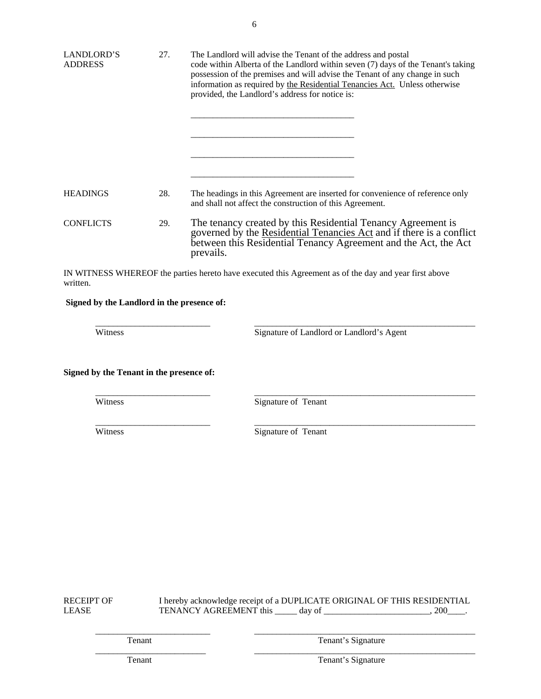| LANDLORD'S<br><b>ADDRESS</b> | 27. | The Landlord will advise the Tenant of the address and postal<br>code within Alberta of the Landlord within seven (7) days of the Tenant's taking<br>possession of the premises and will advise the Tenant of any change in such<br>information as required by the Residential Tenancies Act. Unless otherwise<br>provided, the Landlord's address for notice is: |
|------------------------------|-----|-------------------------------------------------------------------------------------------------------------------------------------------------------------------------------------------------------------------------------------------------------------------------------------------------------------------------------------------------------------------|
|                              |     |                                                                                                                                                                                                                                                                                                                                                                   |
| <b>HEADINGS</b>              | 28. | The headings in this Agreement are inserted for convenience of reference only<br>and shall not affect the construction of this Agreement.                                                                                                                                                                                                                         |
| <b>CONFLICTS</b>             | 29. | The tenancy created by this Residential Tenancy Agreement is<br>governed by the Residential Tenancies Act and if there is a conflict<br>between this Residential Tenancy Agreement and the Act, the Act<br>prevails.                                                                                                                                              |

IN WITNESS WHEREOF the parties hereto have executed this Agreement as of the day and year first above written.

 $\frac{1}{2}$  ,  $\frac{1}{2}$  ,  $\frac{1}{2}$  ,  $\frac{1}{2}$  ,  $\frac{1}{2}$  ,  $\frac{1}{2}$  ,  $\frac{1}{2}$  ,  $\frac{1}{2}$  ,  $\frac{1}{2}$  ,  $\frac{1}{2}$  ,  $\frac{1}{2}$  ,  $\frac{1}{2}$  ,  $\frac{1}{2}$  ,  $\frac{1}{2}$  ,  $\frac{1}{2}$  ,  $\frac{1}{2}$  ,  $\frac{1}{2}$  ,  $\frac{1}{2}$  ,  $\frac{1$ 

 $\frac{1}{2}$  ,  $\frac{1}{2}$  ,  $\frac{1}{2}$  ,  $\frac{1}{2}$  ,  $\frac{1}{2}$  ,  $\frac{1}{2}$  ,  $\frac{1}{2}$  ,  $\frac{1}{2}$  ,  $\frac{1}{2}$  ,  $\frac{1}{2}$  ,  $\frac{1}{2}$  ,  $\frac{1}{2}$  ,  $\frac{1}{2}$  ,  $\frac{1}{2}$  ,  $\frac{1}{2}$  ,  $\frac{1}{2}$  ,  $\frac{1}{2}$  ,  $\frac{1}{2}$  ,  $\frac{1$ 

 $\frac{1}{2}$  ,  $\frac{1}{2}$  ,  $\frac{1}{2}$  ,  $\frac{1}{2}$  ,  $\frac{1}{2}$  ,  $\frac{1}{2}$  ,  $\frac{1}{2}$  ,  $\frac{1}{2}$  ,  $\frac{1}{2}$  ,  $\frac{1}{2}$  ,  $\frac{1}{2}$  ,  $\frac{1}{2}$  ,  $\frac{1}{2}$  ,  $\frac{1}{2}$  ,  $\frac{1}{2}$  ,  $\frac{1}{2}$  ,  $\frac{1}{2}$  ,  $\frac{1}{2}$  ,  $\frac{1$ 

### **Signed by the Landlord in the presence of:**

Witness Signature of Landlord or Landlord's Agent

**Signed by the Tenant in the presence of:**

Witness Signature of Tenant

Witness Signature of Tenant

RECEIPT OF I hereby acknowledge receipt of a DUPLICATE ORIGINAL OF THIS RESIDENTIAL LEASE TENANCY AGREEMENT this \_\_\_\_\_ day of \_\_\_\_\_\_\_\_\_\_\_\_\_\_\_\_\_\_\_\_\_\_\_, 200\_\_\_\_.

 $\frac{1}{2}$  ,  $\frac{1}{2}$  ,  $\frac{1}{2}$  ,  $\frac{1}{2}$  ,  $\frac{1}{2}$  ,  $\frac{1}{2}$  ,  $\frac{1}{2}$  ,  $\frac{1}{2}$  ,  $\frac{1}{2}$  ,  $\frac{1}{2}$  ,  $\frac{1}{2}$  ,  $\frac{1}{2}$  ,  $\frac{1}{2}$  ,  $\frac{1}{2}$  ,  $\frac{1}{2}$  ,  $\frac{1}{2}$  ,  $\frac{1}{2}$  ,  $\frac{1}{2}$  ,  $\frac{1$ 

 $\frac{1}{2}$  ,  $\frac{1}{2}$  ,  $\frac{1}{2}$  ,  $\frac{1}{2}$  ,  $\frac{1}{2}$  ,  $\frac{1}{2}$  ,  $\frac{1}{2}$  ,  $\frac{1}{2}$  ,  $\frac{1}{2}$  ,  $\frac{1}{2}$  ,  $\frac{1}{2}$  ,  $\frac{1}{2}$  ,  $\frac{1}{2}$  ,  $\frac{1}{2}$  ,  $\frac{1}{2}$  ,  $\frac{1}{2}$  ,  $\frac{1}{2}$  ,  $\frac{1}{2}$  ,  $\frac{1$ 

Tenant Tenant Tenant's Signature

Tenant Tenant Signature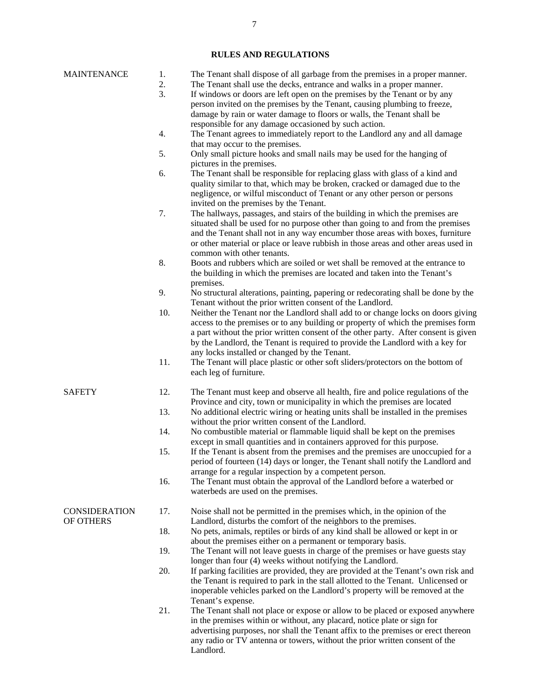## **RULES AND REGULATIONS**

| <b>MAINTENANCE</b>                | 1.<br>2.<br>3. | The Tenant shall dispose of all garbage from the premises in a proper manner.<br>The Tenant shall use the decks, entrance and walks in a proper manner.<br>If windows or doors are left open on the premises by the Tenant or by any                                                                                                                                                           |
|-----------------------------------|----------------|------------------------------------------------------------------------------------------------------------------------------------------------------------------------------------------------------------------------------------------------------------------------------------------------------------------------------------------------------------------------------------------------|
|                                   |                | person invited on the premises by the Tenant, causing plumbing to freeze,<br>damage by rain or water damage to floors or walls, the Tenant shall be                                                                                                                                                                                                                                            |
|                                   | 4.             | responsible for any damage occasioned by such action.<br>The Tenant agrees to immediately report to the Landlord any and all damage                                                                                                                                                                                                                                                            |
|                                   | 5.             | that may occur to the premises.<br>Only small picture hooks and small nails may be used for the hanging of<br>pictures in the premises.                                                                                                                                                                                                                                                        |
|                                   | 6.             | The Tenant shall be responsible for replacing glass with glass of a kind and<br>quality similar to that, which may be broken, cracked or damaged due to the<br>negligence, or wilful misconduct of Tenant or any other person or persons<br>invited on the premises by the Tenant.                                                                                                             |
|                                   | 7.             | The hallways, passages, and stairs of the building in which the premises are<br>situated shall be used for no purpose other than going to and from the premises<br>and the Tenant shall not in any way encumber those areas with boxes, furniture<br>or other material or place or leave rubbish in those areas and other areas used in<br>common with other tenants.                          |
|                                   | 8.             | Boots and rubbers which are soiled or wet shall be removed at the entrance to<br>the building in which the premises are located and taken into the Tenant's<br>premises.                                                                                                                                                                                                                       |
|                                   | 9.             | No structural alterations, painting, papering or redecorating shall be done by the<br>Tenant without the prior written consent of the Landlord.                                                                                                                                                                                                                                                |
|                                   | 10.            | Neither the Tenant nor the Landlord shall add to or change locks on doors giving<br>access to the premises or to any building or property of which the premises form<br>a part without the prior written consent of the other party. After consent is given<br>by the Landlord, the Tenant is required to provide the Landlord with a key for<br>any locks installed or changed by the Tenant. |
|                                   | 11.            | The Tenant will place plastic or other soft sliders/protectors on the bottom of<br>each leg of furniture.                                                                                                                                                                                                                                                                                      |
| <b>SAFETY</b>                     | 12.<br>13.     | The Tenant must keep and observe all health, fire and police regulations of the<br>Province and city, town or municipality in which the premises are located<br>No additional electric wiring or heating units shall be installed in the premises                                                                                                                                              |
|                                   | 14.            | without the prior written consent of the Landlord.<br>No combustible material or flammable liquid shall be kept on the premises                                                                                                                                                                                                                                                                |
|                                   | 15.            | except in small quantities and in containers approved for this purpose.<br>If the Tenant is absent from the premises and the premises are unoccupied for a<br>period of fourteen (14) days or longer, the Tenant shall notify the Landlord and<br>arrange for a regular inspection by a competent person.                                                                                      |
|                                   | 16.            | The Tenant must obtain the approval of the Landlord before a waterbed or<br>waterbeds are used on the premises.                                                                                                                                                                                                                                                                                |
| <b>CONSIDERATION</b><br>OF OTHERS | 17.            | Noise shall not be permitted in the premises which, in the opinion of the<br>Landlord, disturbs the comfort of the neighbors to the premises.                                                                                                                                                                                                                                                  |
|                                   | 18.            | No pets, animals, reptiles or birds of any kind shall be allowed or kept in or<br>about the premises either on a permanent or temporary basis.                                                                                                                                                                                                                                                 |
|                                   | 19.            | The Tenant will not leave guests in charge of the premises or have guests stay<br>longer than four (4) weeks without notifying the Landlord.                                                                                                                                                                                                                                                   |
|                                   | 20.            | If parking facilities are provided, they are provided at the Tenant's own risk and<br>the Tenant is required to park in the stall allotted to the Tenant. Unlicensed or<br>inoperable vehicles parked on the Landlord's property will be removed at the                                                                                                                                        |
|                                   | 21.            | Tenant's expense.<br>The Tenant shall not place or expose or allow to be placed or exposed anywhere<br>in the premises within or without, any placard, notice plate or sign for<br>advertising purposes, nor shall the Tenant affix to the premises or erect thereon<br>any radio or TV antenna or towers, without the prior written consent of the<br>Landlord.                               |